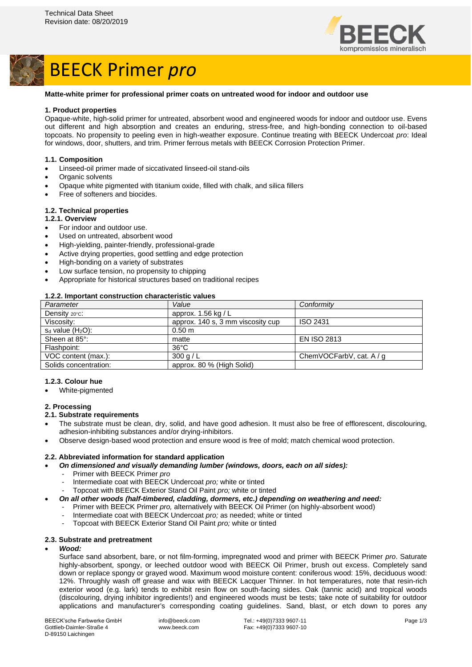

# BEECK Primer *pro*

### **Matte-white primer for professional primer coats on untreated wood for indoor and outdoor use**

### **1. Product properties**

Opaque-white, high-solid primer for untreated, absorbent wood and engineered woods for indoor and outdoor use. Evens out different and high absorption and creates an enduring, stress-free, and high-bonding connection to oil-based topcoats. No propensity to peeling even in high-weather exposure. Continue treating with BEECK Undercoat *pro*: Ideal for windows, door, shutters, and trim. Primer ferrous metals with BEECK Corrosion Protection Primer.

### **1.1. Composition**

- Linseed-oil primer made of siccativated linseed-oil stand-oils
- Organic solvents
- Opaque white pigmented with titanium oxide, filled with chalk, and silica fillers
- Free of softeners and biocides.

### **1.2. Technical properties**

- **1.2.1. Overview**
- For indoor and outdoor use.
- Used on untreated, absorbent wood
- High-yielding, painter-friendly, professional-grade
- Active drying properties, good settling and edge protection
- High-bonding on a variety of substrates
- Low surface tension, no propensity to chipping
- Appropriate for historical structures based on traditional recipes

### **1.2.2. Important construction characteristic values**

| Parameter               | Value                             | Conformity               |
|-------------------------|-----------------------------------|--------------------------|
| Density $20^{\circ}$ c: | approx. 1.56 kg / L               |                          |
| Viscosity:              | approx. 140 s, 3 mm viscosity cup | ISO 2431                 |
| $s_d$ value $(H_2O)$ :  | 0.50 m                            |                          |
| Sheen at 85°:           | matte                             | <b>EN ISO 2813</b>       |
| Flashpoint:             | $36^{\circ}$ C                    |                          |
| VOC content (max.):     | 300 g / L                         | ChemVOCFarbV, cat. A / q |
| Solids concentration:   | approx. 80 % (High Solid)         |                          |

### **1.2.3. Colour hue**

• White-pigmented

### **2. Processing**

### **2.1. Substrate requirements**

- The substrate must be clean, dry, solid, and have good adhesion. It must also be free of efflorescent, discolouring, adhesion-inhibiting substances and/or drying-inhibitors.
- Observe design-based wood protection and ensure wood is free of mold; match chemical wood protection.

### **2.2. Abbreviated information for standard application**

- *On dimensioned and visually demanding lumber (windows, doors, each on all sides):*
	- Primer with BEECK Primer *pro*
	- Intermediate coat with BEECK Undercoat *pro;* white or tinted
	- Topcoat with BEECK Exterior Stand Oil Paint *pro;* white or tinted
- *On all other woods (half-timbered, cladding, dormers, etc.) depending on weathering and need:*
	- Primer with BEECK Primer *pro,* alternatively with BEECK Oil Primer (on highly-absorbent wood)
	- Intermediate coat with BEECK Undercoat *pro;* as needed; white or tinted
	- Topcoat with BEECK Exterior Stand Oil Paint *pro;* white or tinted

### **2.3. Substrate and pretreatment**

### • *Wood:*

Surface sand absorbent, bare, or not film-forming, impregnated wood and primer with BEECK Primer *pro*. Saturate highly-absorbent, spongy, or leeched outdoor wood with BEECK Oil Primer, brush out excess. Completely sand down or replace spongy or grayed wood. Maximum wood moisture content: coniferous wood: 15%, deciduous wood: 12%. Throughly wash off grease and wax with BEECK Lacquer Thinner. In hot temperatures, note that resin-rich exterior wood (e.g. lark) tends to exhibit resin flow on south-facing sides. Oak (tannic acid) and tropical woods (discolouring, drying inhibitor ingredients!) and engineered woods must be tests; take note of suitability for outdoor applications and manufacturer's corresponding coating guidelines. Sand, blast, or etch down to pores any

BEECK'sche Farbwerke GmbH Gottlieb-Daimler-Straße 4 D-89150 Laichingen

info@beeck.com www.beeck.com

Tel.: +49(0)7333 9607-11 Fax: +49(0)7333 9607-10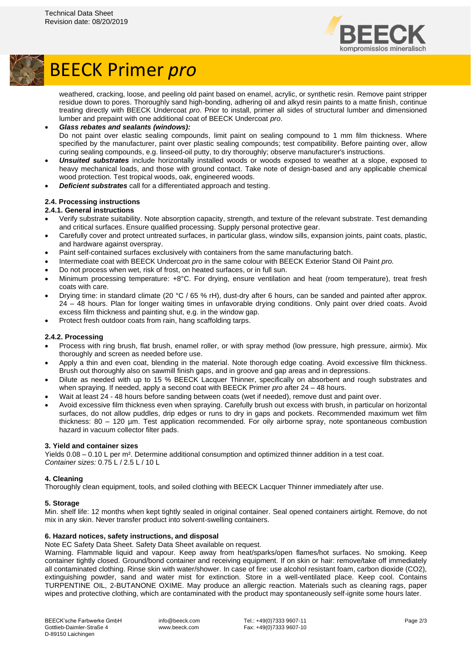

## BEECK Primer *pro*

weathered, cracking, loose, and peeling old paint based on enamel, acrylic, or synthetic resin. Remove paint stripper residue down to pores. Thoroughly sand high-bonding, adhering oil and alkyd resin paints to a matte finish, continue treating directly with BEECK Undercoat *pro*. Prior to install, primer all sides of structural lumber and dimensioned lumber and prepaint with one additional coat of BEECK Undercoat *pro*.

### • *Glass rebates and sealants (windows):* Do not paint over elastic sealing compounds, limit paint on sealing compound to 1 mm film thickness. Where specified by the manufacturer, paint over plastic sealing compounds; test compatibility. Before painting over, allow curing sealing compounds, e.g. linseed-oil putty, to dry thoroughly; observe manufacturer's instructions.

- *Unsuited substrates* include horizontally installed woods or woods exposed to weather at a slope, exposed to heavy mechanical loads, and those with ground contact. Take note of design-based and any applicable chemical wood protection. Test tropical woods, oak, engineered woods.
- *Deficient substrates* call for a differentiated approach and testing.

### **2.4. Processing instructions**

### **2.4.1. General instructions**

- Verify substrate suitability. Note absorption capacity, strength, and texture of the relevant substrate. Test demanding and critical surfaces. Ensure qualified processing. Supply personal protective gear.
- Carefully cover and protect untreated surfaces, in particular glass, window sills, expansion joints, paint coats, plastic, and hardware against overspray.
- Paint self-contained surfaces exclusively with containers from the same manufacturing batch.
- Intermediate coat with BEECK Undercoat *pro* in the same colour with BEECK Exterior Stand Oil Paint *pro.*
- Do not process when wet, risk of frost, on heated surfaces, or in full sun.
- Minimum processing temperature: +8°C. For drying, ensure ventilation and heat (room temperature), treat fresh coats with care.
- Drying time: in standard climate (20 °C / 65 % rH), dust-dry after 6 hours, can be sanded and painted after approx. 24 – 48 hours. Plan for longer waiting times in unfavorable drying conditions. Only paint over dried coats. Avoid excess film thickness and painting shut, e.g. in the window gap.
- Protect fresh outdoor coats from rain, hang scaffolding tarps.

### **2.4.2. Processing**

- Process with ring brush, flat brush, enamel roller, or with spray method (low pressure, high pressure, airmix). Mix thoroughly and screen as needed before use.
- Apply a thin and even coat, blending in the material. Note thorough edge coating. Avoid excessive film thickness. Brush out thoroughly also on sawmill finish gaps, and in groove and gap areas and in depressions.
- Dilute as needed with up to 15 % BEECK Lacquer Thinner, specifically on absorbent and rough substrates and when spraying. If needed, apply a second coat with BEECK Primer *pro* after 24 – 48 hours.
- Wait at least 24 48 hours before sanding between coats (wet if needed), remove dust and paint over.
- Avoid excessive film thickness even when spraying. Carefully brush out excess with brush, in particular on horizontal surfaces, do not allow puddles, drip edges or runs to dry in gaps and pockets. Recommended maximum wet film thickness: 80 – 120 µm. Test application recommended. For oily airborne spray, note spontaneous combustion hazard in vacuum collector filter pads.

### **3. Yield and container sizes**

Yields 0.08 – 0.10 L per m². Determine additional consumption and optimized thinner addition in a test coat. *Container sizes:* 0.75 L / 2.5 L / 10 L

### **4. Cleaning**

Thoroughly clean equipment, tools, and soiled clothing with BEECK Lacquer Thinner immediately after use.

### **5. Storage**

Min. shelf life: 12 months when kept tightly sealed in original container. Seal opened containers airtight. Remove, do not mix in any skin. Never transfer product into solvent-swelling containers.

### **6. Hazard notices, safety instructions, and disposal**

Note EC Safety Data Sheet. Safety Data Sheet available on request.

Warning. Flammable liquid and vapour. Keep away from heat/sparks/open flames/hot surfaces. No smoking. Keep container tightly closed. Ground/bond container and receiving equipment. If on skin or hair: remove/take off immediately all contaminated clothing. Rinse skin with water/shower. In case of fire: use alcohol resistant foam, carbon dioxide (CO2), extinguishing powder, sand and water mist for extinction. Store in a well-ventilated place. Keep cool. Contains TURPENTINE OIL, 2-BUTANONE OXIME. May produce an allergic reaction. Materials such as cleaning rags, paper wipes and protective clothing, which are contaminated with the product may spontaneously self-ignite some hours later.

info@beeck.com www.beeck.com